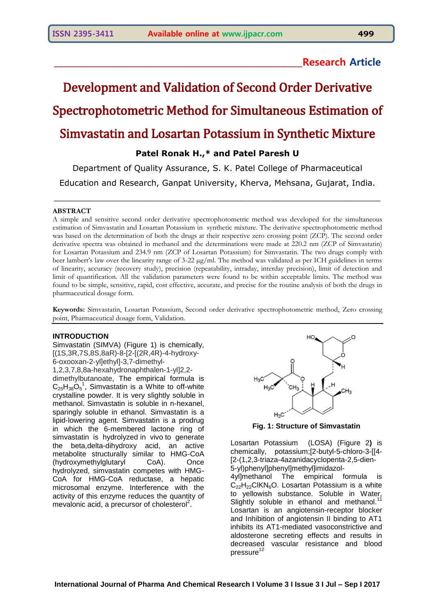## **\_\_\_\_\_\_\_\_\_\_\_\_\_\_\_\_\_\_\_\_\_\_\_\_\_\_\_\_\_\_\_\_\_\_\_\_\_\_\_\_\_\_\_\_\_\_\_\_\_\_\_\_\_\_\_\_\_Research Article**

# Development and Validation of Second Order Derivative Spectrophotometric Method for Simultaneous Estimation of Simvastatin and Losartan Potassium in Synthetic Mixture

## **Patel Ronak H.,\* and Patel Paresh U**

Department of Quality Assurance, S. K. Patel College of Pharmaceutical

Education and Research, Ganpat University, Kherva, Mehsana, Gujarat, India. \_\_\_\_\_\_\_\_\_\_\_\_\_\_\_\_\_\_\_\_\_\_\_\_\_\_\_\_\_\_\_\_\_\_\_\_\_\_\_\_\_\_\_\_\_\_\_\_\_\_\_\_\_\_\_\_\_\_\_\_\_\_\_\_

## **ABSTRACT**

A simple and sensitive second order derivative spectrophotometric method was developed for the simultaneous estimation of Simvastatin and Losartan Potassium in synthetic mixture. The derivative spectrophotometric method was based on the determination of both the drugs at their respective zero crossing point (ZCP). The second order derivative spectra was obtained in methanol and the determinations were made at 220.2 nm (ZCP of Simvastatin) for Losartan Potassium and 234.9 nm (ZCP of Losartan Potassium) for Simvastatin. The two drugs comply with beer lambert's law over the linearity range of 3-22 µg/ml. The method was validated as per ICH guidelines in terms of linearity, accuracy (recovery study), precision (repeatability, intraday, interday precision), limit of detection and limit of quantification. All the validation parameters were found to be within acceptable limits. The method was found to be simple, sensitive, rapid, cost effective, accurate, and precise for the routine analysis of both the drugs in pharmaceutical dosage form.

**Keywords:** Simvastatin, Losartan Potassium, Second order derivative spectrophotometric method, Zero crossing point, Pharmaceutical dosage form, Validation.

## **INTRODUCTION**

Simvastatin (SIMVA) (Figure 1) is chemically, [(1S,3R,7S,8S,8aR)-8-[2-[(2R,4R)-4-hydroxy-6-oxooxan-2-yl]ethyl]-3,7-dimethyl-1,2,3,7,8,8a-hexahydronaphthalen-1-yl]2,2 dimethylbutanoate, The empirical formula is  $C_{25}H_{38}O_5^1$  $C_{25}H_{38}O_5^1$  $C_{25}H_{38}O_5^1$ , Simvastatin is a White to off-white crystalline powder. It is very slightly soluble in [methanol.](https://pubchem.ncbi.nlm.nih.gov/compound/methanol) Simvastatin is soluble in n-hexanel, sparingly soluble in ethanol. Simvastatin is a lipid-lowering agent. Simvastatin is a prodrug in which the 6-membered lactone ring of simvastatin is hydrolyzed in vivo to generate the beta,delta-dihydroxy acid, an active metabolite structurally similar to HMG-CoA (hydroxymethylglutaryl CoA). Once hydrolyzed, simvastatin competes with HMG-CoA for HMG-CoA reductase, a hepatic microsomal enzyme. Interference with the activity of this enzyme reduces the quantity of mevalonic acid, a precursor of cholesterol<sup>2</sup>.



**Fig. 1: Structure of Simvastatin**

Losartan Potassium (LOSA) (Figure 2**)** is chemically, potassium;[2-butyl-5-chloro-3-[[4- [2-(1,2,3-triaza-4azanidacyclopenta-2,5-dien-5-yl)phenyl]phenyl]methyl]imidazol-

4yl]methanol The empirical formula is  $C_{22}H_{22}CH_{8}O$ . Losartan Potassium is a white to yellowish substance. Soluble in Water, Slightly soluble in ethanol and methanol.<sup>1</sup> Losartan is an angiotensin-receptor blocker and Inhibition of angiotensin II binding to AT1 inhibits its AT1-mediated vasoconstrictive and aldosterone secreting effects and results in decreased vascular resistance and blood pressure<sup>12</sup>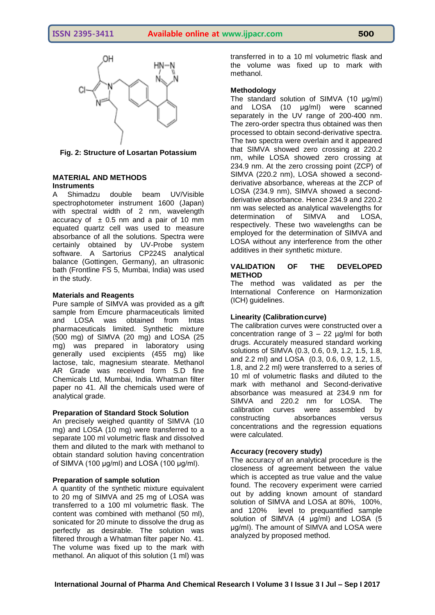

## **Fig. 2: Structure of Losartan Potassium**

## **MATERIAL AND METHODS Instruments**

A Shimadzu double beam UV/Visible spectrophotometer instrument 1600 (Japan) with spectral width of 2 nm, wavelength accuracy of  $\pm$  0.5 nm and a pair of 10 mm equated quartz cell was used to measure absorbance of all the solutions. Spectra were certainly obtained by UV-Probe system software. A Sartorius CP224S analytical balance (Gottingen, Germany), an ultrasonic bath (Frontline FS 5, Mumbai, India) was used in the study.

## **Materials and Reagents**

Pure sample of SIMVA was provided as a gift sample from Emcure pharmaceuticals limited and LOSA was obtained from Intas pharmaceuticals limited. Synthetic mixture (500 mg) of SIMVA (20 mg) and LOSA (25 mg) was prepared in laboratory using generally used excipients (455 mg) like lactose, talc, magnesium stearate. Methanol AR Grade was received form S.D fine Chemicals Ltd, Mumbai, India. Whatman filter paper no 41. All the chemicals used were of analytical grade.

## **Preparation of Standard Stock Solution**

An precisely weighed quantity of SIMVA (10 mg) and LOSA (10 mg) were transferred to a separate 100 ml volumetric flask and dissolved them and diluted to the mark with methanol to obtain standard solution having concentration of SIMVA (100 μg/ml) and LOSA (100 μg/ml).

## **Preparation of sample solution**

A quantity of the synthetic mixture equivalent to 20 mg of SIMVA and 25 mg of LOSA was transferred to a 100 ml volumetric flask. The content was combined with methanol (50 ml), sonicated for 20 minute to dissolve the drug as perfectly as desirable. The solution was filtered through a Whatman filter paper No. 41. The volume was fixed up to the mark with methanol. An aliquot of this solution (1 ml) was

transferred in to a 10 ml volumetric flask and the volume was fixed up to mark with methanol.

## **Methodology**

The standard solution of SIMVA (10 μg/ml) and LOSA (10 μg/ml) were scanned separately in the UV range of 200-400 nm. The zero-order spectra thus obtained was then processed to obtain second-derivative spectra. The two spectra were overlain and it appeared that SIMVA showed zero crossing at 220.2 nm, while LOSA showed zero crossing at 234.9 nm. At the zero crossing point (ZCP) of SIMVA (220.2 nm), LOSA showed a secondderivative absorbance, whereas at the ZCP of LOSA (234.9 nm), SIMVA showed a secondderivative absorbance. Hence 234.9 and 220.2 nm was selected as analytical wavelengths for determination of SIMVA and LOSA, respectively. These two wavelengths can be employed for the determination of SIMVA and LOSA without any interference from the other additives in their synthetic mixture.

## **VALIDATION OF THE DEVELOPED METHOD**

The method was validated as per the International Conference on Harmonization (ICH) guidelines.

## **Linearity (Calibrationcurve)**

The calibration curves were constructed over a concentration range of  $3 - 22$  ug/ml for both drugs. Accurately measured standard working solutions of SIMVA (0.3, 0.6, 0.9, 1.2, 1.5, 1.8, and 2.2 ml) and LOSA (0.3, 0.6, 0.9, 1.2, 1.5, 1.8, and 2.2 ml) were transferred to a series of 10 ml of volumetric flasks and diluted to the mark with methanol and Second-derivative absorbance was measured at 234.9 nm for SIMVA and 220.2 nm for LOSA. The calibration curves were assembled by constructing absorbances versus concentrations and the regression equations were calculated.

## **Accuracy (recovery study)**

The accuracy of an analytical procedure is the closeness of agreement between the value which is accepted as true value and the value found. The recovery experiment were carried out by adding known amount of standard solution of SIMVA and LOSA at 80%, 100%, and 120% level to prequantified sample solution of SIMVA (4 μg/ml) and LOSA (5 μg/ml). The amount of SIMVA and LOSA were analyzed by proposed method.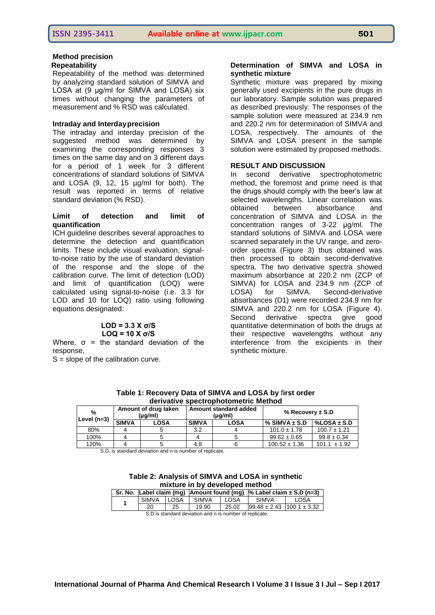#### **Method precision Repeatability**

Repeatability of the method was determined by analyzing standard solution of SIMVA and LOSA at (9 μg/ml for SIMVA and LOSA) six times without changing the parameters of measurement and % RSD was calculated.

#### **Intraday and Interdayprecision**

The intraday and interday precision of the suggested method was determined by examining the corresponding responses 3 times on the same day and on 3 different days for a period of 1 week for 3 different concentrations of standard solutions of SIMVA and LOSA (9, 12, 15 µg/ml for both). The result was reported in terms of relative standard deviation (% RSD).

#### **Limit of detection and limit of quantification**

ICH guideline describes several approaches to determine the detection and quantification limits. These include visual evaluation, signalto-noise ratio by the use of standard deviation of the response and the slope of the calibration curve. The limit of detection (LOD) and limit of quantification (LOQ) were calculated using signal-to-noise (i.e. 3.3 for LOD and 10 for LOQ) ratio using following equations designated:

## **LOD = 3.3 Χ σ/S LOQ = 10 Χ σ/S**

Where,  $\sigma$  = the standard deviation of the response,

 $S =$  slope of the calibration curve.

### **Determination of SIMVA and LOSA in synthetic mixture**

Synthetic mixture was prepared by mixing generally used excipients in the pure drugs in our laboratory. Sample solution was prepared as described previously. The responses of the sample solution were measured at 234.9 nm and 220.2 nm for determination of SIMVA and LOSA, respectively. The amounts of the SIMVA and LOSA present in the sample solution were estimated by proposed methods.

#### **RESULT AND DISCUSSION**

In second derivative spectrophotometric method, the foremost and prime need is that the drugs should comply with the beer's law at selected wavelengths. Linear correlation was obtained between absorbance and concentration of SIMVA and LOSA in the concentration ranges of 3-22 μg/ml. The standard solutions of SIMVA and LOSA were scanned separately in the UV range, and zeroorder spectra (Figure 3) thus obtained was then processed to obtain second-derivative spectra. The two derivative spectra showed maximum absorbance at 220.2 nm (ZCP of SIMVA) for LOSA and 234.9 nm (ZCP of LOSA) for SIMVA. Second-derivative absorbances (D1) were recorded 234.9 nm for SIMVA and 220.2 nm for LOSA (Figure 4). Second derivative spectra give good quantitative determination of both the drugs at their respective wavelengths without any interference from the excipients in their synthetic mixture.

| <u>UCITVALIVE SDECH ODITOLOMICH IC MICHIOU</u> |                                 |             |                                  |             |                      |                  |
|------------------------------------------------|---------------------------------|-------------|----------------------------------|-------------|----------------------|------------------|
| %<br>Level $(n=3)$                             | Amount of drug taken<br>(µg/ml) |             | Amount standard added<br>(µg/ml) |             | % Recovery $\pm$ S.D |                  |
|                                                | <b>SIMVA</b>                    | <b>LOSA</b> | <b>SIMVA</b>                     | <b>LOSA</b> | % SIMVA $\pm$ S.D    | %LOSA $\pm$ S.D  |
| 80%                                            |                                 |             | 3.2                              |             | $101.0 \pm 1.78$     | $100.7 \pm 1.21$ |
| 100%                                           |                                 |             |                                  |             | $99.62 \pm 0.65$     | $99.8 \pm 0.34$  |
| 120%                                           |                                 |             | 4.8                              |             | $100.52 \pm 1.36$    | $101.1 \pm 1.92$ |

**Table 1: Recovery Data of SIMVA and LOSA by** f**irst order derivative spectrophotometric Method**

S.D. is standard deviation and n is number of replicate.

| Table 2: Analysis of SIMVA and LOSA in synthetic |
|--------------------------------------------------|
| mixture in by developed method                   |

|                                                         |              |             |              |        |                                   | Sr. No. Label claim (mq) Amount found (mq) $\%$ Label claim $\pm$ S.D (n=3) |  |
|---------------------------------------------------------|--------------|-------------|--------------|--------|-----------------------------------|-----------------------------------------------------------------------------|--|
|                                                         | <b>SIMVA</b> | <b>LOSA</b> | <b>SIMVA</b> | I LOSA | <b>SIMVA</b>                      | LOSA                                                                        |  |
|                                                         | 20           | 25          | 19.90        | 25.02  | $99.48 \pm 2.43$ 100.1 $\pm$ 3.32 |                                                                             |  |
| S.D is standard deviation and n is number of replicate. |              |             |              |        |                                   |                                                                             |  |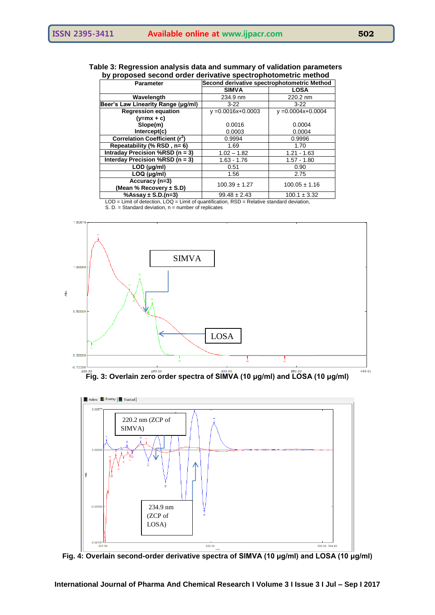## **Table 3: Regression analysis data and summary of validation parameters by proposed second order derivative spectrophotometric method**

| <b>Parameter</b>                          | Second derivative spectrophotometric Method |                        |  |  |
|-------------------------------------------|---------------------------------------------|------------------------|--|--|
|                                           | <b>SIMVA</b>                                | <b>LOSA</b>            |  |  |
| Wavelength                                | 234.9 nm                                    | 220.2 nm               |  |  |
| Beer's Law Linearity Range (µg/ml)        | $3-22$                                      | $3-22$                 |  |  |
| <b>Regression equation</b>                | $y = 0.0016x + 0.0003$                      | $y = 0.0004x + 0.0004$ |  |  |
| $(y=mx + c)$                              |                                             |                        |  |  |
| Slope(m)                                  | 0.0016                                      | 0.0004                 |  |  |
| Intercept(c)                              | 0.0003                                      | 0.0004                 |  |  |
| Correlation Coefficient (r <sup>2</sup> ) | 0.9994                                      | 0.9996                 |  |  |
| Repeatability (% RSD, n= 6)               | 1.69                                        | 1.70                   |  |  |
| Intraday Precision %RSD (n = 3)           | $1.02 - 1.82$                               | $1.21 - 1.63$          |  |  |
| Interday Precision %RSD (n = 3)           | $1.63 - 1.76$                               | $1.57 - 1.80$          |  |  |
| $LOD$ ( $\mu$ g/ml)                       | 0.51                                        | 0.90                   |  |  |
| $LOQ$ ( $\mu$ g/ml)                       | 1.56                                        | 2.75                   |  |  |
| Accuracy (n=3)                            | $100.39 \pm 1.27$                           | $100.05 \pm 1.16$      |  |  |
| (Mean % Recovery $\pm$ S.D)               |                                             |                        |  |  |
| %Assay $\pm$ S.D.(n=3)                    | $99.48 \pm 2.43$                            | $100.1 \pm 3.32$       |  |  |

LOD = Limit of detection, LOQ = Limit of quantification, RSD = Relative standard deviation,

 $S. D. = Standard deviation, n = number of replicates$ 



**Fig. 3: Overlain zero order spectra of SIMVA (10 μg/ml) and LOSA (10 μg/ml)** 



**Fig. 4: Overlain second-order derivative spectra of SIMVA (10 μg/ml) and LOSA (10 μg/ml)**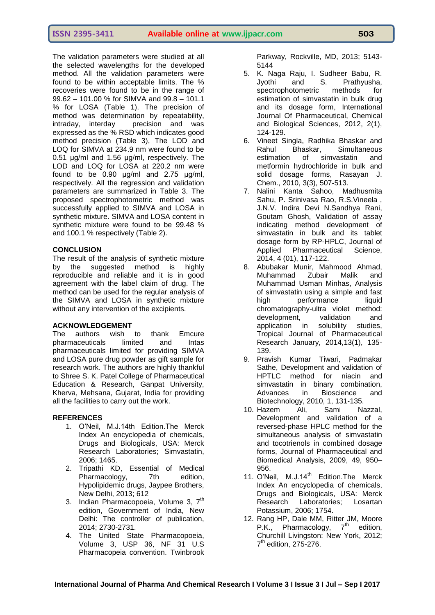The validation parameters were studied at all the selected wavelengths for the developed method. All the validation parameters were found to be within acceptable limits. The % recoveries were found to be in the range of 99.62 – 101.00 % for SIMVA and 99.8 – 101.1 % for LOSA (Table 1). The precision of method was determination by repeatability, intraday, interday precision and was expressed as the % RSD which indicates good method precision (Table 3), The LOD and LOQ for SIMVA at 234.9 nm were found to be 0.51 μg/ml and 1.56 μg/ml, respectively. The LOD and LOQ for LOSA at 220.2 nm were found to be 0.90 μg/ml and 2.75 μg/ml, respectively. All the regression and validation parameters are summarized in Table 3. The proposed spectrophotometric method was successfully applied to SIMVA and LOSA in synthetic mixture. SIMVA and LOSA content in synthetic mixture were found to be 99.48 % and 100.1 % respectively (Table 2).

## **CONCLUSION**

The result of the analysis of synthetic mixture by the suggested method is highly reproducible and reliable and it is in good agreement with the label claim of drug. The method can be used for the regular analysis of the SIMVA and LOSA in synthetic mixture without any intervention of the excipients.

#### **ACKNOWLEDGEMENT**

The authors wish to thank Emcure pharmaceuticals limited and Intas pharmaceuticals limited for providing SIMVA and LOSA pure drug powder as gift sample for research work. The authors are highly thankful to Shree S. K. Patel College of Pharmaceutical Education & Research, Ganpat University, Kherva, Mehsana, Gujarat, India for providing all the facilities to carry out the work.

#### **REFERENCES**

- 1. O'Neil, M.J.14th Edition.The Merck Index An encyclopedia of chemicals, Drugs and Biologicals, USA: Merck Research Laboratories; Simvastatin, 2006; 1465.
- 2. Tripathi KD, Essential of Medical Pharmacology, 7th edition, Hypolipidemic drugs, Jaypee Brothers, New Delhi, 2013; 612
- 3. Indian Pharmacopoeia, Volume 3, 7<sup>th</sup> edition, Government of India, New Delhi: The controller of publication, 2014; 2730-2731.
- 4. The United State Pharmacopoeia, Volume 3, USP 36, NF 31 U.S Pharmacopeia convention. Twinbrook

Parkway, Rockville, MD, 2013; 5143- 5144

- 5. K. Naga Raju, I. Sudheer Babu, R. Jyothi and S. Prathyusha, spectrophotometric methods for estimation of simvastatin in bulk drug and its dosage form, International Journal Of Pharmaceutical, Chemical and Biological Sciences, 2012, 2(1), 124-129.
- 6. Vineet Singla, Radhika Bhaskar and Rahul Bhaskar, Simultaneous estimation of simvastatin and metformin hydrochloride in bulk and solid dosage forms, Rasayan J. Chem., 2010, 3(3), 507-513.
- 7. Nalini Kanta Sahoo, Madhusmita Sahu, P. Srinivasa Rao, R.S.Vineela , J.N.V. Indira Devi N.Sandhya Rani, Goutam Ghosh, Validation of assay indicating method development of simvastatin in bulk and its tablet dosage form by RP-HPLC, Journal of Applied Pharmaceutical Science, 2014, 4 (01), 117-122.
- 8. Abubakar Munir, Mahmood Ahmad, Muhammad Zubair Malik and Muhammad Usman Minhas, Analysis of simvastatin using a simple and fast high performance liquid chromatography-ultra violet method: development, validation and application in solubility studies, Tropical Journal of Pharmaceutical Research January, 2014,13(1), 135- 139.
- 9. Pravish Kumar Tiwari, Padmakar Sathe, Development and validation of HPTLC method for niacin and simvastatin in binary combination, Advances in Bioscience and Biotechnology, 2010, 1, 131-135.
- 10. Hazem Ali, Sami Nazzal, Development and validation of a reversed-phase HPLC method for the simultaneous analysis of simvastatin and tocotrienols in combined dosage forms, Journal of Pharmaceutical and Biomedical Analysis, 2009, 49, 950– 956.
- 11. O'Neil, M.J.14<sup>th</sup> Edition. The Merck Index An encyclopedia of chemicals, Drugs and Biologicals, USA: Merck Research Laboratories; Losartan Potassium, 2006; 1754.
- 12. Rang HP, Dale MM, Ritter JM, Moore P.K., Pharmacology,  $7<sup>th</sup>$  edition, Churchill Livingston: New York, 2012; 7<sup>th</sup> edition, 275-276.